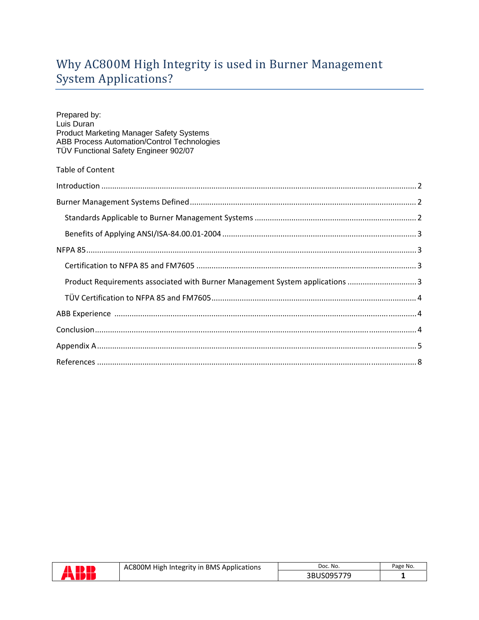# Why AC800M High Integrity is used in Burner Management System Applications?

| Prepared by:<br>Luis Duran<br><b>Product Marketing Manager Safety Systems</b><br>ABB Process Automation/Control Technologies<br>TÜV Functional Safety Engineer 902/07 |
|-----------------------------------------------------------------------------------------------------------------------------------------------------------------------|
| <b>Table of Content</b>                                                                                                                                               |
|                                                                                                                                                                       |
|                                                                                                                                                                       |
|                                                                                                                                                                       |
|                                                                                                                                                                       |
|                                                                                                                                                                       |
|                                                                                                                                                                       |
| Product Requirements associated with Burner Management System applications  3                                                                                         |
|                                                                                                                                                                       |
|                                                                                                                                                                       |
|                                                                                                                                                                       |
|                                                                                                                                                                       |
|                                                                                                                                                                       |

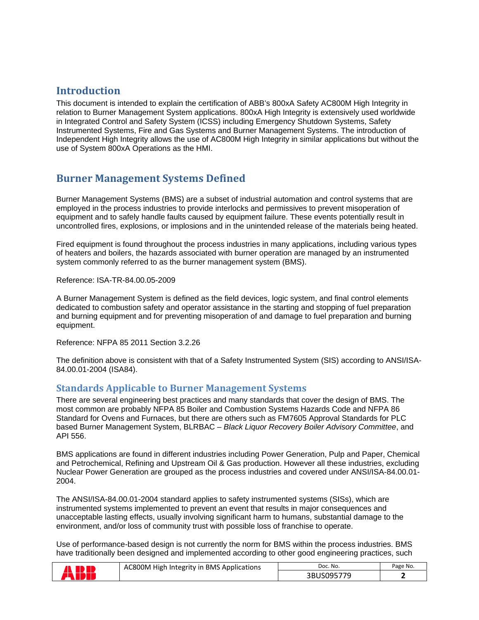## **Introduction**

This document is intended to explain the certification of ABB's 800xA Safety AC800M High Integrity in relation to Burner Management System applications. 800xA High Integrity is extensively used worldwide in Integrated Control and Safety System (ICSS) including Emergency Shutdown Systems, Safety Instrumented Systems, Fire and Gas Systems and Burner Management Systems. The introduction of Independent High Integrity allows the use of AC800M High Integrity in similar applications but without the use of System 800xA Operations as the HMI.

## **Burner Management Systems Defined**

Burner Management Systems (BMS) are a subset of industrial automation and control systems that are employed in the process industries to provide interlocks and permissives to prevent misoperation of equipment and to safely handle faults caused by equipment failure. These events potentially result in uncontrolled fires, explosions, or implosions and in the unintended release of the materials being heated.

Fired equipment is found throughout the process industries in many applications, including various types of heaters and boilers, the hazards associated with burner operation are managed by an instrumented system commonly referred to as the burner management system (BMS).

Reference: ISA-TR-84.00.05-2009

A Burner Management System is defined as the field devices, logic system, and final control elements dedicated to combustion safety and operator assistance in the starting and stopping of fuel preparation and burning equipment and for preventing misoperation of and damage to fuel preparation and burning equipment.

Reference: NFPA 85 2011 Section 3.2.26

The definition above is consistent with that of a Safety Instrumented System (SIS) according to ANSI/ISA-84.00.01-2004 (ISA84).

### **Standards Applicable to Burner Management Systems**

There are several engineering best practices and many standards that cover the design of BMS. The most common are probably NFPA 85 Boiler and Combustion Systems Hazards Code and NFPA 86 Standard for Ovens and Furnaces, but there are others such as FM7605 Approval Standards for PLC based Burner Management System, BLRBAC – *Black Liquor Recovery Boiler Advisory Committee*, and API 556.

BMS applications are found in different industries including Power Generation, Pulp and Paper, Chemical and Petrochemical, Refining and Upstream Oil & Gas production. However all these industries, excluding Nuclear Power Generation are grouped as the process industries and covered under ANSI/ISA-84.00.01- 2004.

The ANSI/ISA-84.00.01-2004 standard applies to safety instrumented systems (SISs), which are instrumented systems implemented to prevent an event that results in major consequences and unacceptable lasting effects, usually involving significant harm to humans, substantial damage to the environment, and/or loss of community trust with possible loss of franchise to operate.

Use of performance-based design is not currently the norm for BMS within the process industries. BMS have traditionally been designed and implemented according to other good engineering practices, such

| AC800M High Integrity in BMS Applications | Doc. No.   | Page No. |
|-------------------------------------------|------------|----------|
|                                           | 3BUS095779 |          |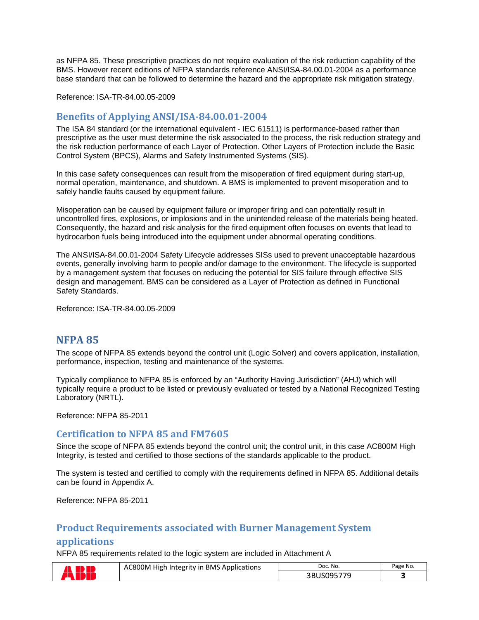as NFPA 85. These prescriptive practices do not require evaluation of the risk reduction capability of the BMS. However recent editions of NFPA standards reference ANSI/ISA-84.00.01-2004 as a performance base standard that can be followed to determine the hazard and the appropriate risk mitigation strategy.

Reference: ISA-TR-84.00.05-2009

#### **Benefits of Applying ANSI/ISA‐84.00.01‐2004**

The ISA 84 standard (or the international equivalent - IEC 61511) is performance-based rather than prescriptive as the user must determine the risk associated to the process, the risk reduction strategy and the risk reduction performance of each Layer of Protection. Other Layers of Protection include the Basic Control System (BPCS), Alarms and Safety Instrumented Systems (SIS).

In this case safety consequences can result from the misoperation of fired equipment during start-up, normal operation, maintenance, and shutdown. A BMS is implemented to prevent misoperation and to safely handle faults caused by equipment failure.

Misoperation can be caused by equipment failure or improper firing and can potentially result in uncontrolled fires, explosions, or implosions and in the unintended release of the materials being heated. Consequently, the hazard and risk analysis for the fired equipment often focuses on events that lead to hydrocarbon fuels being introduced into the equipment under abnormal operating conditions.

The ANSI/ISA-84.00.01-2004 Safety Lifecycle addresses SISs used to prevent unacceptable hazardous events, generally involving harm to people and/or damage to the environment. The lifecycle is supported by a management system that focuses on reducing the potential for SIS failure through effective SIS design and management. BMS can be considered as a Layer of Protection as defined in Functional Safety Standards.

Reference: ISA-TR-84.00.05-2009

### **NFPA 85**

The scope of NFPA 85 extends beyond the control unit (Logic Solver) and covers application, installation, performance, inspection, testing and maintenance of the systems.

Typically compliance to NFPA 85 is enforced by an "Authority Having Jurisdiction" (AHJ) which will typically require a product to be listed or previously evaluated or tested by a National Recognized Testing Laboratory (NRTL).

Reference: NFPA 85-2011

#### **Certification to NFPA 85 and FM7605**

Since the scope of NFPA 85 extends beyond the control unit; the control unit, in this case AC800M High Integrity, is tested and certified to those sections of the standards applicable to the product.

The system is tested and certified to comply with the requirements defined in NFPA 85. Additional details can be found in Appendix A.

Reference: NFPA 85-2011

### **Product Requirements associated with Burner Management System**

#### **applications**

NFPA 85 requirements related to the logic system are included in Attachment A

| N | AC800M High Integrity in BMS Applications | Doc. No.   | Page No. |
|---|-------------------------------------------|------------|----------|
|   |                                           | 3BUS095779 |          |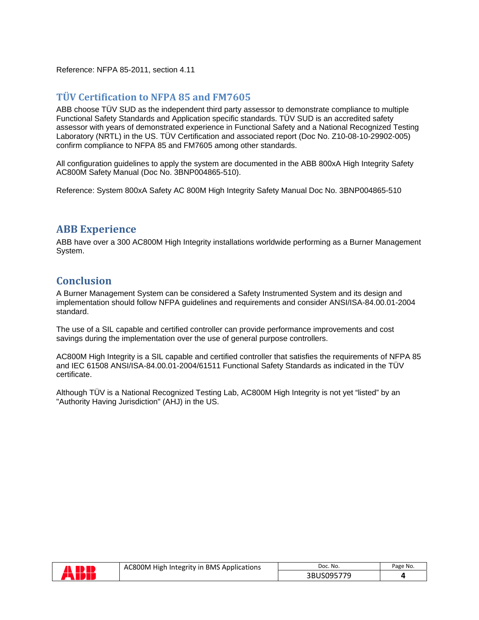Reference: NFPA 85-2011, section 4.11

### **TÜV Certification to NFPA 85 and FM7605**

ABB choose TÜV SUD as the independent third party assessor to demonstrate compliance to multiple Functional Safety Standards and Application specific standards. TÜV SUD is an accredited safety assessor with years of demonstrated experience in Functional Safety and a National Recognized Testing Laboratory (NRTL) in the US. TÜV Certification and associated report (Doc No. Z10-08-10-29902-005) confirm compliance to NFPA 85 and FM7605 among other standards.

All configuration guidelines to apply the system are documented in the ABB 800xA High Integrity Safety AC800M Safety Manual (Doc No. 3BNP004865-510).

Reference: System 800xA Safety AC 800M High Integrity Safety Manual Doc No. 3BNP004865-510

## **ABB Experience**

ABB have over a 300 AC800M High Integrity installations worldwide performing as a Burner Management System.

## **Conclusion**

A Burner Management System can be considered a Safety Instrumented System and its design and implementation should follow NFPA guidelines and requirements and consider ANSI/ISA-84.00.01-2004 standard.

The use of a SIL capable and certified controller can provide performance improvements and cost savings during the implementation over the use of general purpose controllers.

AC800M High Integrity is a SIL capable and certified controller that satisfies the requirements of NFPA 85 and IEC 61508 ANSI/ISA-84.00.01-2004/61511 Functional Safety Standards as indicated in the TÜV certificate.

Although TÜV is a National Recognized Testing Lab, AC800M High Integrity is not yet "listed" by an "Authority Having Jurisdiction" (AHJ) in the US.



| AC800M High Integrity in BMS Applications | Doc. No.   | Page No. |
|-------------------------------------------|------------|----------|
|                                           | 3BUS095779 |          |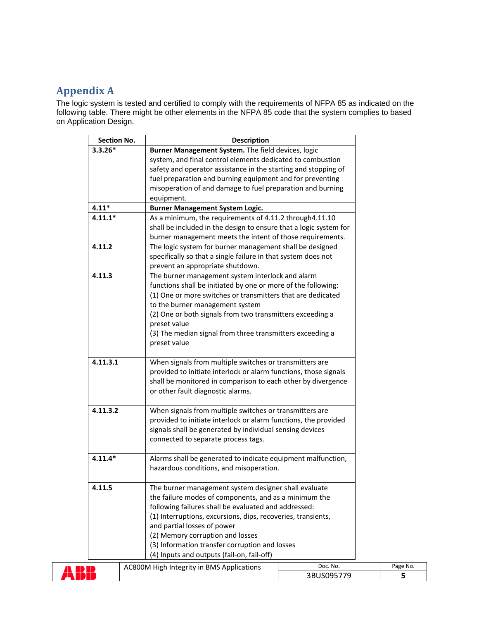## **Appendix A**

The logic system is tested and certified to comply with the requirements of NFPA 85 as indicated on the following table. There might be other elements in the NFPA 85 code that the system complies to based on Application Design.

|           | <b>Section No.</b> | <b>Description</b>                                                        |          |
|-----------|--------------------|---------------------------------------------------------------------------|----------|
| $3.3.26*$ |                    | Burner Management System. The field devices, logic                        |          |
|           |                    | system, and final control elements dedicated to combustion                |          |
|           |                    | safety and operator assistance in the starting and stopping of            |          |
|           |                    | fuel preparation and burning equipment and for preventing                 |          |
|           |                    | misoperation of and damage to fuel preparation and burning                |          |
|           |                    | equipment.                                                                |          |
| $4.11*$   |                    | <b>Burner Management System Logic.</b>                                    |          |
| $4.11.1*$ |                    | As a minimum, the requirements of 4.11.2 through4.11.10                   |          |
|           |                    | shall be included in the design to ensure that a logic system for         |          |
|           |                    | burner management meets the intent of those requirements.                 |          |
| 4.11.2    |                    | The logic system for burner management shall be designed                  |          |
|           |                    | specifically so that a single failure in that system does not             |          |
|           |                    | prevent an appropriate shutdown.                                          |          |
| 4.11.3    |                    | The burner management system interlock and alarm                          |          |
|           |                    | functions shall be initiated by one or more of the following:             |          |
|           |                    | (1) One or more switches or transmitters that are dedicated               |          |
|           |                    | to the burner management system                                           |          |
|           |                    | (2) One or both signals from two transmitters exceeding a                 |          |
|           |                    | preset value                                                              |          |
|           |                    | (3) The median signal from three transmitters exceeding a<br>preset value |          |
|           |                    |                                                                           |          |
| 4.11.3.1  |                    | When signals from multiple switches or transmitters are                   |          |
|           |                    | provided to initiate interlock or alarm functions, those signals          |          |
|           |                    | shall be monitored in comparison to each other by divergence              |          |
|           |                    | or other fault diagnostic alarms.                                         |          |
|           |                    |                                                                           |          |
| 4.11.3.2  |                    | When signals from multiple switches or transmitters are                   |          |
|           |                    | provided to initiate interlock or alarm functions, the provided           |          |
|           |                    | signals shall be generated by individual sensing devices                  |          |
|           |                    | connected to separate process tags.                                       |          |
| $4.11.4*$ |                    | Alarms shall be generated to indicate equipment malfunction,              |          |
|           |                    | hazardous conditions, and misoperation.                                   |          |
|           |                    |                                                                           |          |
| 4.11.5    |                    | The burner management system designer shall evaluate                      |          |
|           |                    | the failure modes of components, and as a minimum the                     |          |
|           |                    | following failures shall be evaluated and addressed:                      |          |
|           |                    | (1) Interruptions, excursions, dips, recoveries, transients,              |          |
|           |                    | and partial losses of power                                               |          |
|           |                    | (2) Memory corruption and losses                                          |          |
|           |                    | (3) Information transfer corruption and losses                            |          |
|           |                    | (4) Inputs and outputs (fail-on, fail-off)                                |          |
|           |                    | AC800M High Integrity in BMS Applications                                 | Doc. No. |

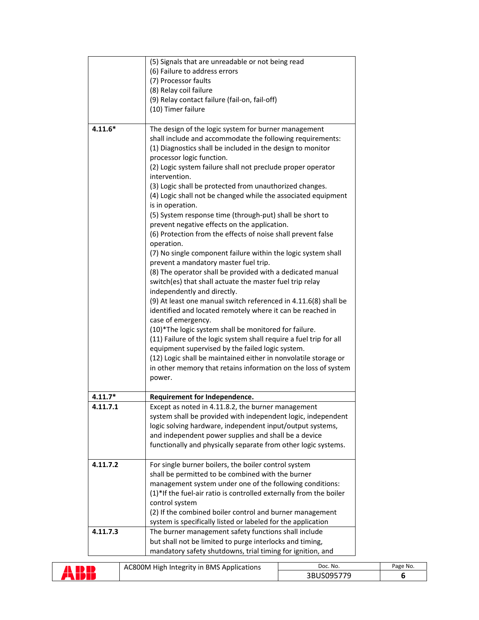| $4.11.6*$ | (5) Signals that are unreadable or not being read<br>(6) Failure to address errors<br>(7) Processor faults<br>(8) Relay coil failure<br>(9) Relay contact failure (fail-on, fail-off)<br>(10) Timer failure<br>The design of the logic system for burner management<br>shall include and accommodate the following requirements:<br>(1) Diagnostics shall be included in the design to monitor<br>processor logic function.<br>(2) Logic system failure shall not preclude proper operator<br>intervention.<br>(3) Logic shall be protected from unauthorized changes.<br>(4) Logic shall not be changed while the associated equipment<br>is in operation.<br>(5) System response time (through-put) shall be short to<br>prevent negative effects on the application.<br>(6) Protection from the effects of noise shall prevent false<br>operation.<br>(7) No single component failure within the logic system shall<br>prevent a mandatory master fuel trip.<br>(8) The operator shall be provided with a dedicated manual |
|-----------|-------------------------------------------------------------------------------------------------------------------------------------------------------------------------------------------------------------------------------------------------------------------------------------------------------------------------------------------------------------------------------------------------------------------------------------------------------------------------------------------------------------------------------------------------------------------------------------------------------------------------------------------------------------------------------------------------------------------------------------------------------------------------------------------------------------------------------------------------------------------------------------------------------------------------------------------------------------------------------------------------------------------------------|
|           | switch(es) that shall actuate the master fuel trip relay<br>independently and directly.<br>(9) At least one manual switch referenced in 4.11.6(8) shall be<br>identified and located remotely where it can be reached in<br>case of emergency.<br>(10)*The logic system shall be monitored for failure.<br>(11) Failure of the logic system shall require a fuel trip for all<br>equipment supervised by the failed logic system.<br>(12) Logic shall be maintained either in nonvolatile storage or<br>in other memory that retains information on the loss of system<br>power.                                                                                                                                                                                                                                                                                                                                                                                                                                              |
|           |                                                                                                                                                                                                                                                                                                                                                                                                                                                                                                                                                                                                                                                                                                                                                                                                                                                                                                                                                                                                                               |
| $4.11.7*$ | Requirement for Independence.                                                                                                                                                                                                                                                                                                                                                                                                                                                                                                                                                                                                                                                                                                                                                                                                                                                                                                                                                                                                 |
| 4.11.7.1  | Except as noted in 4.11.8.2, the burner management<br>system shall be provided with independent logic, independent<br>logic solving hardware, independent input/output systems,<br>and independent power supplies and shall be a device<br>functionally and physically separate from other logic systems.                                                                                                                                                                                                                                                                                                                                                                                                                                                                                                                                                                                                                                                                                                                     |
| 4.11.7.2  | For single burner boilers, the boiler control system<br>shall be permitted to be combined with the burner<br>management system under one of the following conditions:<br>(1)*If the fuel-air ratio is controlled externally from the boiler<br>control system<br>(2) If the combined boiler control and burner management<br>system is specifically listed or labeled for the application                                                                                                                                                                                                                                                                                                                                                                                                                                                                                                                                                                                                                                     |
| 4.11.7.3  | The burner management safety functions shall include<br>but shall not be limited to purge interlocks and timing,<br>mandatory safety shutdowns, trial timing for ignition, and                                                                                                                                                                                                                                                                                                                                                                                                                                                                                                                                                                                                                                                                                                                                                                                                                                                |

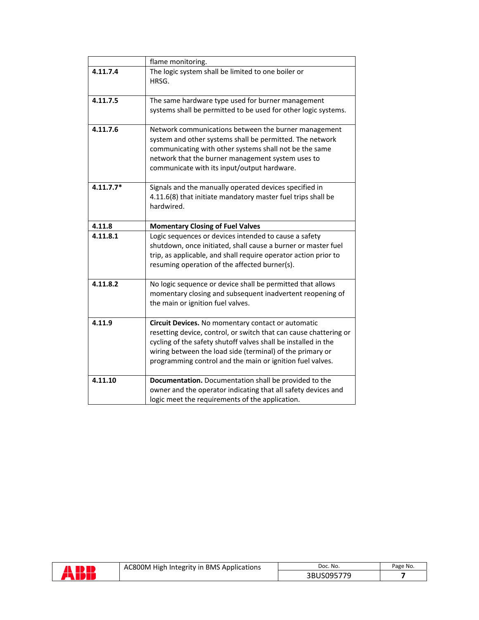|             | flame monitoring.                                                 |  |  |
|-------------|-------------------------------------------------------------------|--|--|
| 4.11.7.4    | The logic system shall be limited to one boiler or<br>HRSG.       |  |  |
|             |                                                                   |  |  |
| 4.11.7.5    | The same hardware type used for burner management                 |  |  |
|             | systems shall be permitted to be used for other logic systems.    |  |  |
| 4.11.7.6    | Network communications between the burner management              |  |  |
|             | system and other systems shall be permitted. The network          |  |  |
|             | communicating with other systems shall not be the same            |  |  |
|             | network that the burner management system uses to                 |  |  |
|             | communicate with its input/output hardware.                       |  |  |
| $4.11.7.7*$ | Signals and the manually operated devices specified in            |  |  |
|             | 4.11.6(8) that initiate mandatory master fuel trips shall be      |  |  |
|             | hardwired.                                                        |  |  |
|             |                                                                   |  |  |
| 4.11.8      | <b>Momentary Closing of Fuel Valves</b>                           |  |  |
| 4.11.8.1    | Logic sequences or devices intended to cause a safety             |  |  |
|             | shutdown, once initiated, shall cause a burner or master fuel     |  |  |
|             | trip, as applicable, and shall require operator action prior to   |  |  |
|             | resuming operation of the affected burner(s).                     |  |  |
| 4.11.8.2    | No logic sequence or device shall be permitted that allows        |  |  |
|             | momentary closing and subsequent inadvertent reopening of         |  |  |
|             | the main or ignition fuel valves.                                 |  |  |
|             |                                                                   |  |  |
| 4.11.9      | Circuit Devices. No momentary contact or automatic                |  |  |
|             | resetting device, control, or switch that can cause chattering or |  |  |
|             | cycling of the safety shutoff valves shall be installed in the    |  |  |
|             | wiring between the load side (terminal) of the primary or         |  |  |
|             | programming control and the main or ignition fuel valves.         |  |  |
|             |                                                                   |  |  |
| 4.11.10     | Documentation. Documentation shall be provided to the             |  |  |
|             | owner and the operator indicating that all safety devices and     |  |  |
|             | logic meet the requirements of the application.                   |  |  |